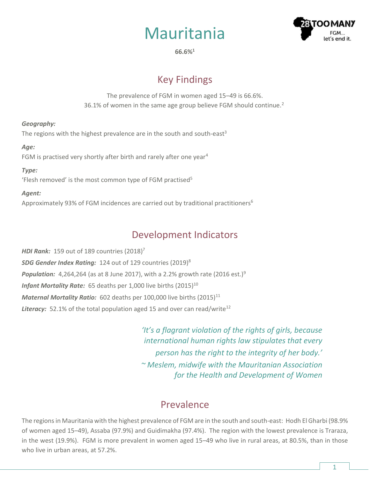



**66.6%<sup>1</sup>**

# Key Findings

The prevalence of FGM in women aged 15–49 is 66.6%. 36.1% of women in the same age group believe FGM should continue.<sup>2</sup>

### *Geography:*

The regions with the highest prevalence are in the south and south-east<sup>3</sup>

### *Age:*

FGM is practised very shortly after birth and rarely after one year<sup>4</sup>

#### *Type:*

'Flesh removed' is the most common type of FGM practised<sup>5</sup>

### *Agent:*

Approximately 93% of FGM incidences are carried out by traditional practitioners<sup>6</sup>

### Development Indicators

*HDI Rank:* 159 out of 189 countries (2018) 7 *SDG Gender Index Rating:* 124 out of 129 countries (2019)<sup>8</sup> **Population:** 4,264,264 (as at 8 June 2017), with a 2.2% growth rate (2016 est.)<sup>9</sup> *Infant Mortality Rate:* 65 deaths per 1,000 live births (2015)<sup>10</sup> *Maternal Mortality Ratio:* 602 deaths per 100,000 live births (2015)<sup>11</sup> **Literacy:** 52.1% of the total population aged 15 and over can read/write<sup>12</sup>

> *'It's a flagrant violation of the rights of girls, because international human rights law stipulates that every person has the right to the integrity of her body.' ~ Meslem, midwife with the Mauritanian Association for the Health and Development of Women*

## Prevalence

The regions in Mauritania with the highest prevalence of FGM are in the south and south-east: Hodh El Gharbi (98.9% of women aged 15–49), Assaba (97.9%) and Guidimakha (97.4%). The region with the lowest prevalence is Traraza, in the west (19.9%). FGM is more prevalent in women aged 15–49 who live in rural areas, at 80.5%, than in those who live in urban areas, at 57.2%.

1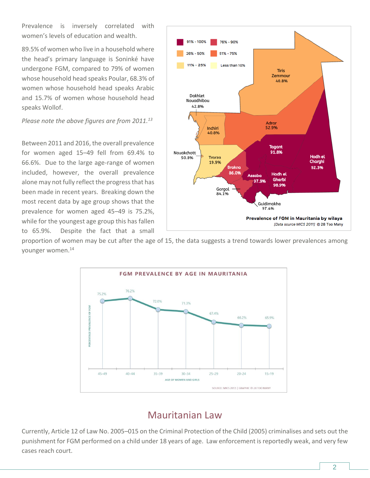Prevalence is inversely correlated with women's levels of education and wealth.

89.5% of women who live in a household where the head's primary language is Soninké have undergone FGM, compared to 79% of women whose household head speaks Poular, 68.3% of women whose household head speaks Arabic and 15.7% of women whose household head speaks Wollof.

*Please note the above figures are from 2011.<sup>13</sup>*

Between 2011 and 2016, the overall prevalence for women aged 15–49 fell from 69.4% to 66.6%. Due to the large age-range of women included, however, the overall prevalence alone may not fully reflect the progress that has been made in recent years. Breaking down the most recent data by age group shows that the prevalence for women aged 45–49 is 75.2%, while for the youngest age group this has fallen to 65.9%. Despite the fact that a small



proportion of women may be cut after the age of 15, the data suggests a trend towards lower prevalences among younger women.<sup>14</sup>



## Mauritanian Law

Currently, Article 12 of Law No. 2005–015 on the Criminal Protection of the Child (2005) criminalises and sets out the punishment for FGM performed on a child under 18 years of age. Law enforcement is reportedly weak, and very few cases reach court.